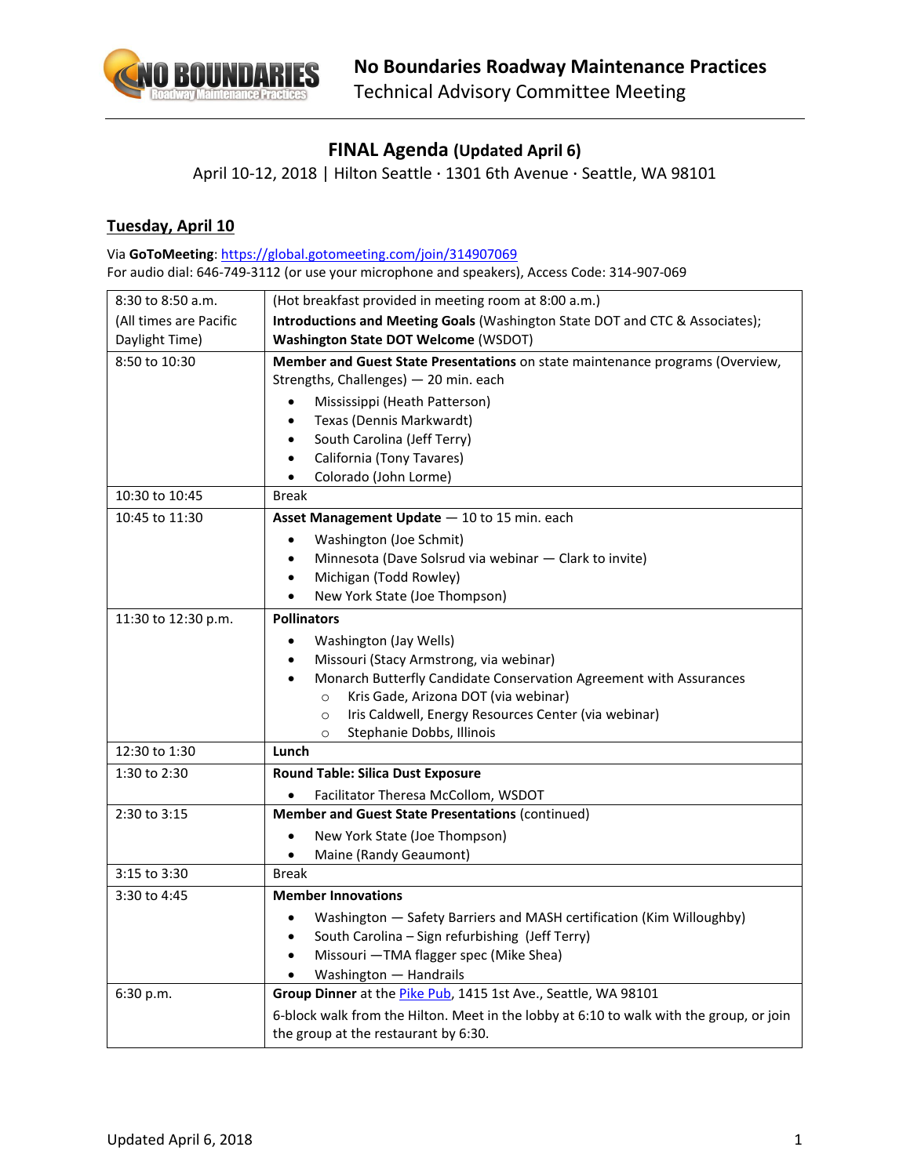

## **FINAL Agenda (Updated April 6)**

April 10-12, 2018 | Hilton Seattle · 1301 6th Avenue · Seattle, WA 98101

## **Tuesday, April 10**

Via **GoToMeeting**:<https://global.gotomeeting.com/join/314907069> For audio dial: 646-749-3112 (or use your microphone and speakers), Access Code: 314-907-069

| 8:30 to 8:50 a.m.      | (Hot breakfast provided in meeting room at 8:00 a.m.)                                                                  |
|------------------------|------------------------------------------------------------------------------------------------------------------------|
| (All times are Pacific | Introductions and Meeting Goals (Washington State DOT and CTC & Associates);                                           |
| Daylight Time)         | <b>Washington State DOT Welcome (WSDOT)</b>                                                                            |
| 8:50 to 10:30          | Member and Guest State Presentations on state maintenance programs (Overview,<br>Strengths, Challenges) - 20 min. each |
|                        | Mississippi (Heath Patterson)                                                                                          |
|                        | Texas (Dennis Markwardt)<br>$\bullet$                                                                                  |
|                        | South Carolina (Jeff Terry)<br>$\bullet$                                                                               |
|                        | California (Tony Tavares)<br>$\bullet$                                                                                 |
|                        | Colorado (John Lorme)<br>$\bullet$                                                                                     |
| 10:30 to 10:45         | <b>Break</b>                                                                                                           |
| 10:45 to 11:30         | Asset Management Update - 10 to 15 min. each                                                                           |
|                        | Washington (Joe Schmit)<br>$\bullet$                                                                                   |
|                        | Minnesota (Dave Solsrud via webinar - Clark to invite)<br>$\bullet$                                                    |
|                        | Michigan (Todd Rowley)<br>$\bullet$                                                                                    |
|                        | New York State (Joe Thompson)<br>$\bullet$                                                                             |
| 11:30 to 12:30 p.m.    | <b>Pollinators</b>                                                                                                     |
|                        | Washington (Jay Wells)<br>$\bullet$                                                                                    |
|                        | Missouri (Stacy Armstrong, via webinar)<br>$\bullet$                                                                   |
|                        | Monarch Butterfly Candidate Conservation Agreement with Assurances                                                     |
|                        | Kris Gade, Arizona DOT (via webinar)<br>$\circ$                                                                        |
|                        | Iris Caldwell, Energy Resources Center (via webinar)<br>$\circ$                                                        |
|                        | Stephanie Dobbs, Illinois<br>$\circ$                                                                                   |
| 12:30 to 1:30          | Lunch                                                                                                                  |
| 1:30 to 2:30           | <b>Round Table: Silica Dust Exposure</b>                                                                               |
|                        | Facilitator Theresa McCollom, WSDOT                                                                                    |
| 2:30 to 3:15           | Member and Guest State Presentations (continued)                                                                       |
|                        | New York State (Joe Thompson)<br>$\bullet$                                                                             |
|                        | Maine (Randy Geaumont)<br>$\bullet$                                                                                    |
| 3:15 to 3:30           | <b>Break</b>                                                                                                           |
| 3:30 to 4:45           | <b>Member Innovations</b>                                                                                              |
|                        | Washington - Safety Barriers and MASH certification (Kim Willoughby)<br>$\bullet$                                      |
|                        | South Carolina - Sign refurbishing (Jeff Terry)                                                                        |
|                        | Missouri - TMA flagger spec (Mike Shea)<br>$\bullet$                                                                   |
|                        | Washington - Handrails                                                                                                 |
| 6:30 p.m.              | Group Dinner at the <i>Pike Pub</i> , 1415 1st Ave., Seattle, WA 98101                                                 |
|                        | 6-block walk from the Hilton. Meet in the lobby at 6:10 to walk with the group, or join                                |
|                        | the group at the restaurant by 6:30.                                                                                   |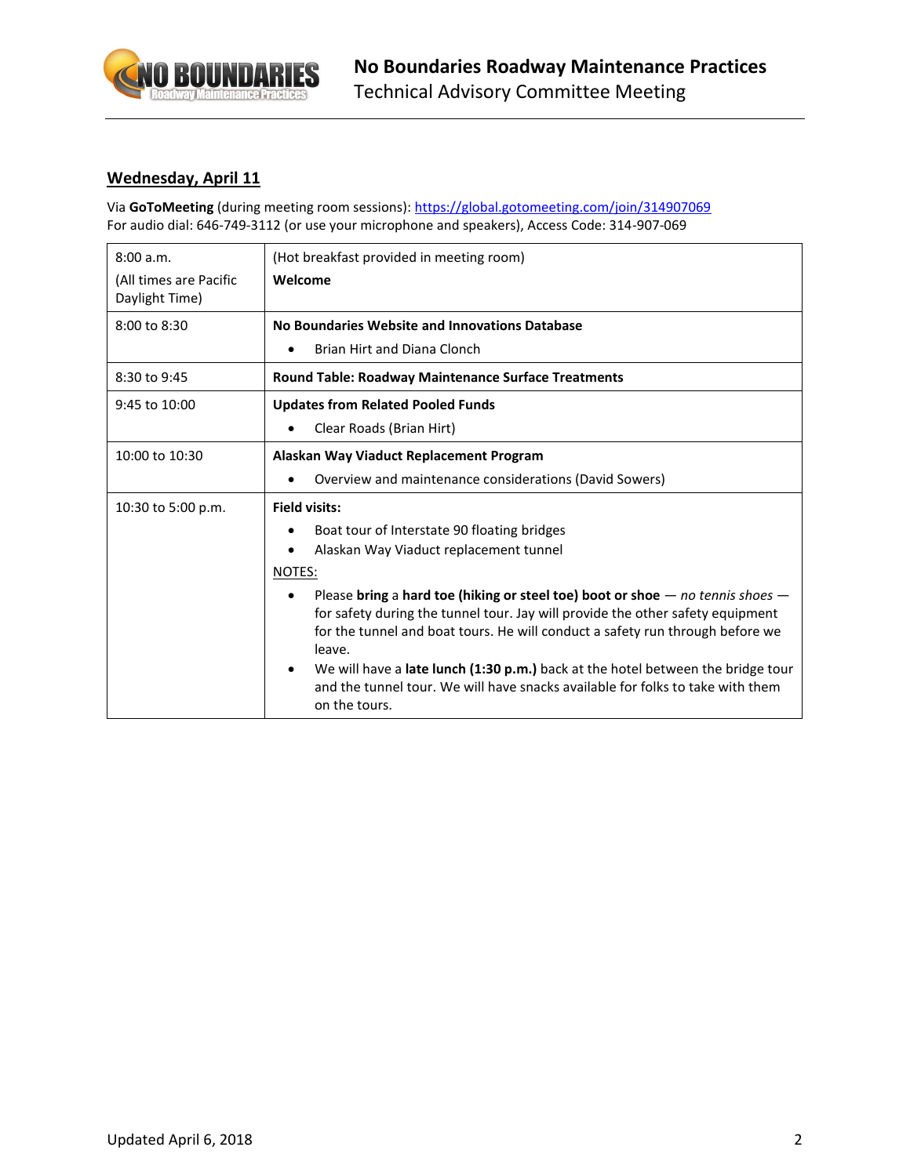

## **Wednesday, April 11**

Via **GoToMeeting** (during meeting room sessions):<https://global.gotomeeting.com/join/314907069> For audio dial: 646-749-3112 (or use your microphone and speakers), Access Code: 314-907-069

| 8:00 a.m.                                | (Hot breakfast provided in meeting room)                                                                                                                                                                                                                                                                                                                                                                                                              |
|------------------------------------------|-------------------------------------------------------------------------------------------------------------------------------------------------------------------------------------------------------------------------------------------------------------------------------------------------------------------------------------------------------------------------------------------------------------------------------------------------------|
| (All times are Pacific<br>Daylight Time) | Welcome                                                                                                                                                                                                                                                                                                                                                                                                                                               |
| 8:00 to 8:30                             | No Boundaries Website and Innovations Database                                                                                                                                                                                                                                                                                                                                                                                                        |
|                                          | Brian Hirt and Diana Clonch                                                                                                                                                                                                                                                                                                                                                                                                                           |
| 8:30 to 9:45                             | <b>Round Table: Roadway Maintenance Surface Treatments</b>                                                                                                                                                                                                                                                                                                                                                                                            |
| 9:45 to 10:00                            | <b>Updates from Related Pooled Funds</b>                                                                                                                                                                                                                                                                                                                                                                                                              |
|                                          | Clear Roads (Brian Hirt)                                                                                                                                                                                                                                                                                                                                                                                                                              |
| 10:00 to 10:30                           | Alaskan Way Viaduct Replacement Program                                                                                                                                                                                                                                                                                                                                                                                                               |
|                                          | Overview and maintenance considerations (David Sowers)                                                                                                                                                                                                                                                                                                                                                                                                |
| 10:30 to 5:00 p.m.                       | <b>Field visits:</b>                                                                                                                                                                                                                                                                                                                                                                                                                                  |
|                                          | Boat tour of Interstate 90 floating bridges                                                                                                                                                                                                                                                                                                                                                                                                           |
|                                          | Alaskan Way Viaduct replacement tunnel                                                                                                                                                                                                                                                                                                                                                                                                                |
|                                          | NOTES:                                                                                                                                                                                                                                                                                                                                                                                                                                                |
|                                          | Please bring a hard toe (hiking or steel toe) boot or shoe $-$ no tennis shoes $-$<br>for safety during the tunnel tour. Jay will provide the other safety equipment<br>for the tunnel and boat tours. He will conduct a safety run through before we<br>leave.<br>We will have a late lunch (1:30 p.m.) back at the hotel between the bridge tour<br>and the tunnel tour. We will have snacks available for folks to take with them<br>on the tours. |